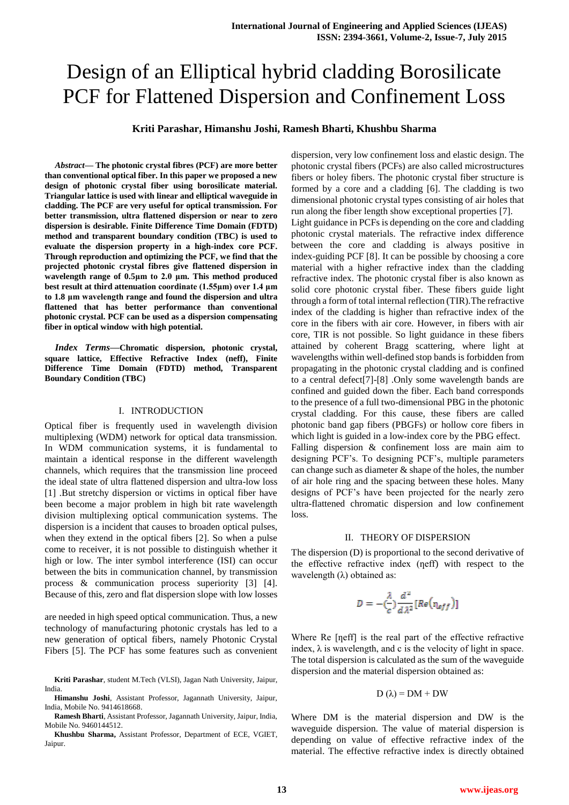# Design of an Elliptical hybrid cladding Borosilicate PCF for Flattened Dispersion and Confinement Loss

## **Kriti Parashar, Himanshu Joshi, Ramesh Bharti, Khushbu Sharma**

*Abstract***— The photonic crystal fibres (PCF) are more better than conventional optical fiber. In this paper we proposed a new design of photonic crystal fiber using borosilicate material. Triangular lattice is used with linear and elliptical waveguide in cladding. The PCF are very useful for optical transmission. For better transmission, ultra flattened dispersion or near to zero dispersion is desirable. Finite Difference Time Domain (FDTD) method and transparent boundary condition (TBC) is used to evaluate the dispersion property in a high-index core PCF. Through reproduction and optimizing the PCF, we find that the projected photonic crystal fibres give flattened dispersion in wavelength range of 0.5μm to 2.0 μm. This method produced best result at third attenuation coordinate (1.55μm) over 1.4 μm to 1.8 μm wavelength range and found the dispersion and ultra flattened that has better performance than conventional photonic crystal. PCF can be used as a dispersion compensating fiber in optical window with high potential.**

*Index Terms***—Chromatic dispersion, photonic crystal, square lattice, Effective Refractive Index (neff), Finite Difference Time Domain (FDTD) method, Transparent Boundary Condition (TBC)**

#### I. INTRODUCTION

Optical fiber is frequently used in wavelength division multiplexing (WDM) network for optical data transmission. In WDM communication systems, it is fundamental to maintain a identical response in the different wavelength channels, which requires that the transmission line proceed the ideal state of ultra flattened dispersion and ultra-low loss [1] .But stretchy dispersion or victims in optical fiber have been become a major problem in high bit rate wavelength division multiplexing optical communication systems. The dispersion is a incident that causes to broaden optical pulses, when they extend in the optical fibers [2]. So when a pulse come to receiver, it is not possible to distinguish whether it high or low. The inter symbol interference (ISI) can occur between the bits in communication channel, by transmission process & communication process superiority [3] [4]. Because of this, zero and flat dispersion slope with low losses

are needed in high speed optical communication. Thus, a new technology of manufacturing photonic crystals has led to a new generation of optical fibers, namely Photonic Crystal Fibers [5]. The PCF has some features such as convenient dispersion, very low confinement loss and elastic design. The photonic crystal fibers (PCFs) are also called microstructures fibers or holey fibers. The photonic crystal fiber structure is formed by a core and a cladding [6]. The cladding is two dimensional photonic crystal types consisting of air holes that run along the fiber length show exceptional properties [7]. Light guidance in PCFs is depending on the core and cladding photonic crystal materials. The refractive index difference between the core and cladding is always positive in index-guiding PCF [8]. It can be possible by choosing a core material with a higher refractive index than the cladding refractive index. The photonic crystal fiber is also known as solid core photonic crystal fiber. These fibers guide light through a form of total internal reflection (TIR).The refractive index of the cladding is higher than refractive index of the core in the fibers with air core. However, in fibers with air core, TIR is not possible. So light guidance in these fibers attained by coherent Bragg scattering, where light at wavelengths within well-defined stop bands is forbidden from propagating in the photonic crystal cladding and is confined to a central defect[7]-[8] .Only some wavelength bands are confined and guided down the fiber. Each band corresponds to the presence of a full two-dimensional PBG in the photonic crystal cladding. For this cause, these fibers are called photonic band gap fibers (PBGFs) or hollow core fibers in which light is guided in a low-index core by the PBG effect. Falling dispersion & confinement loss are main aim to designing PCF's. To designing PCF's, multiple parameters can change such as diameter  $\&$  shape of the holes, the number of air hole ring and the spacing between these holes. Many designs of PCF's have been projected for the nearly zero ultra-flattened chromatic dispersion and low confinement loss.

### II. THEORY OF DISPERSION

The dispersion (D) is proportional to the second derivative of the effective refractive index (neff) with respect to the wavelength  $(\lambda)$  obtained as:

$$
D = -(\frac{\lambda}{c}) \frac{d^2}{d\lambda^2} [Re(\eta_{eff})]
$$

Where Re [neff] is the real part of the effective refractive index,  $\lambda$  is wavelength, and c is the velocity of light in space. The total dispersion is calculated as the sum of the waveguide dispersion and the material dispersion obtained as:

$$
D(\lambda) = DM + DW
$$

Where DM is the material dispersion and DW is the waveguide dispersion. The value of material dispersion is depending on value of effective refractive index of the material. The effective refractive index is directly obtained

**Kriti Parashar**, student M.Tech (VLSI), Jagan Nath University, Jaipur, India.

**Himanshu Joshi**, Assistant Professor, Jagannath University, Jaipur, India, Mobile No. 9414618668.

**Ramesh Bharti**, Assistant Professor, Jagannath University, Jaipur, India, Mobile No. 9460144512.

**Khushbu Sharma,** Assistant Professor, Department of ECE, VGIET, Jaipur.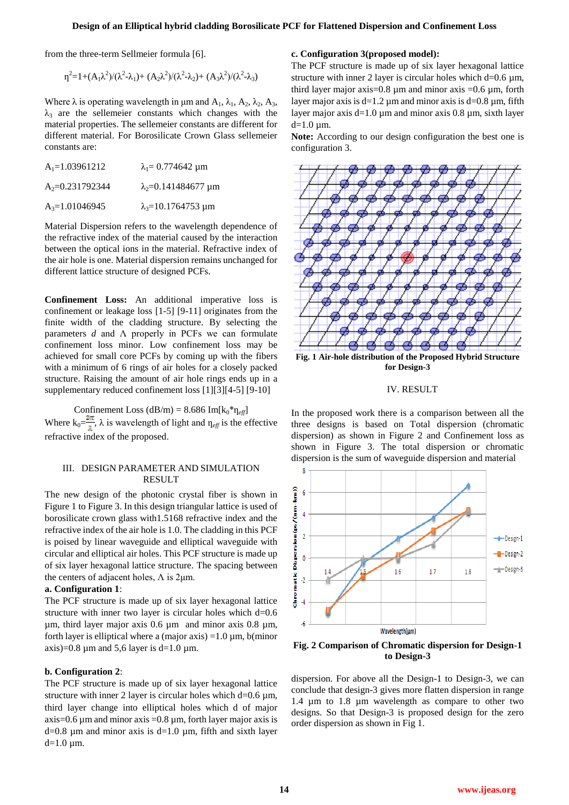from the three-term Sellmeier formula [6].

$$
\eta^2 = 1 + (A_1 \lambda^2) / (\lambda^2 - \lambda_1) + (A_2 \lambda^2) / (\lambda^2 - \lambda_2) + (A_3 \lambda^2) / (\lambda^2 - \lambda_3)
$$

Where  $\lambda$  is operating wavelength in  $\mu$ m and  $A_1$ ,  $\lambda_1$ ,  $A_2$ ,  $\lambda_2$ ,  $A_3$ ,  $\lambda_3$  are the sellemeier constants which changes with the material properties. The sellemeier constants are different for different material. For Borosilicate Crown Glass sellemeier constants are:

| $A_1=1.03961212$  | $\lambda_1 = 0.774642$ um            |
|-------------------|--------------------------------------|
| $A_2=0.231792344$ | $\lambda_2 = 0.141484677 \text{ µm}$ |
| $A_3=1.01046945$  | $\lambda_3 = 10.1764753 \mu m$       |

Material Dispersion refers to the wavelength dependence of the refractive index of the material caused by the interaction between the optical ions in the material. Refractive index of the air hole is one. Material dispersion remains unchanged for different lattice structure of designed PCFs.

**Confinement Loss:** An additional imperative loss is confinement or leakage loss [1-5] [9-11] originates from the finite width of the cladding structure. By selecting the parameters *d* and Λ properly in PCFs we can formulate confinement loss minor. Low confinement loss may be achieved for small core PCFs by coming up with the fibers with a minimum of 6 rings of air holes for a closely packed structure. Raising the amount of air hole rings ends up in a supplementary reduced confinement loss [1][3][4-5] [9-10]

Confinement Loss  $(dB/m) = 8.686$  Im $[k_0 * \eta_{eff}]$ Where  $k_0 = \frac{1}{\lambda}$ ,  $\lambda$  is wavelength of light and  $\eta_{\text{eff}}$  is the effective refractive index of the proposed.

# III. DESIGN PARAMETER AND SIMULATION RESULT

The new design of the photonic crystal fiber is shown in Figure 1 to Figure 3. In this design triangular lattice is used of borosilicate crown glass with1.5168 refractive index and the refractive index of the air hole is 1.0. The cladding in this PCF is poised by linear waveguide and elliptical waveguide with circular and elliptical air holes. This PCF structure is made up of six layer hexagonal lattice structure. The spacing between the centers of adjacent holes,  $Λ$  is 2μm.

## **a. Configuration 1**:

The PCF structure is made up of six layer hexagonal lattice structure with inner two layer is circular holes which d=0.6 µm, third layer major axis 0.6 µm and minor axis 0.8 µm, forth layer is elliptical where a (major axis) =  $1.0 \mu$ m, b(minor axis)=0.8  $\mu$ m and 5,6 layer is d=1.0  $\mu$ m.

#### **b. Configuration 2**:

The PCF structure is made up of six layer hexagonal lattice structure with inner 2 layer is circular holes which  $d=0.6 \mu m$ , third layer change into elliptical holes which d of major axis=0.6  $\mu$ m and minor axis =0.8  $\mu$ m, forth layer major axis is  $d=0.8$  µm and minor axis is  $d=1.0$  µm, fifth and sixth layer  $d=1.0 \mu m$ .

## **c. Configuration 3(proposed model):**

The PCF structure is made up of six layer hexagonal lattice structure with inner 2 layer is circular holes which  $d=0.6 \mu m$ , third layer major axis=0.8  $\mu$ m and minor axis =0.6  $\mu$ m, forth layer major axis is  $d=1.2 \mu m$  and minor axis is  $d=0.8 \mu m$ , fifth layer major axis  $d=1.0 \mu m$  and minor axis 0.8  $\mu$ m, sixth layer  $d=1.0$  um.

**Note:** According to our design configuration the best one is configuration 3.



**Fig. 1 Air-hole distribution of the Proposed Hybrid Structure for Design-3**

## IV. RESULT

In the proposed work there is a comparison between all the three designs is based on Total dispersion (chromatic dispersion) as shown in Figure 2 and Confinement loss as shown in Figure 3. The total dispersion or chromatic dispersion is the sum of waveguide dispersion and material



**Fig. 2 Comparison of Chromatic dispersion for Design-1 to Design-3** 

dispersion. For above all the Design-1 to Design-3, we can conclude that design-3 gives more flatten dispersion in range 1.4 µm to 1.8 µm wavelength as compare to other two designs. So that Design-3 is proposed design for the zero order dispersion as shown in Fig 1.